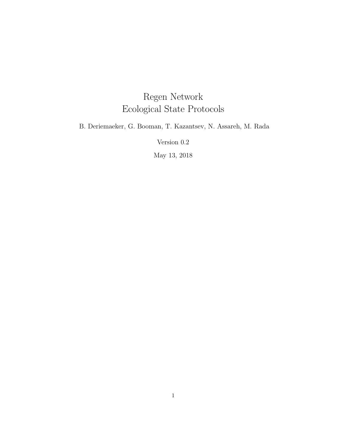# Regen Network Ecological State Protocols

B. Deriemaeker, G. Booman, T. Kazantsev, N. Assareh, M. Rada

Version 0.2

May 13, 2018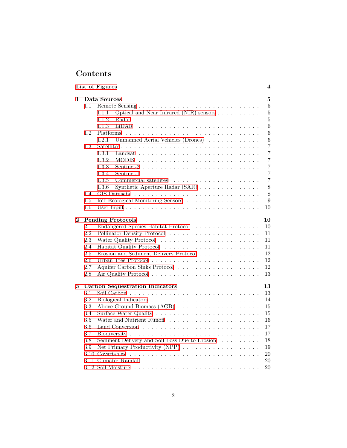# **Contents**

|          |         | List of Figures                                                                      | 4               |  |  |  |  |
|----------|---------|--------------------------------------------------------------------------------------|-----------------|--|--|--|--|
| 1        |         | Data Sources<br>5                                                                    |                 |  |  |  |  |
|          | 1.1     |                                                                                      | 5               |  |  |  |  |
|          |         | Optical and Near Infrared (NIR) sensors<br>1.1.1                                     | $\bf 5$         |  |  |  |  |
|          |         | 1.1.2                                                                                | $\overline{5}$  |  |  |  |  |
|          |         | 1.1.3<br>LiDAR.                                                                      | $\,6$           |  |  |  |  |
|          | 1.2     | Platforms                                                                            | $6\phantom{.}6$ |  |  |  |  |
|          |         | 1.2.1<br>Unmanned Aerial Vehicles (Drones)                                           | $\,6$           |  |  |  |  |
|          | 1.3     |                                                                                      | $\overline{7}$  |  |  |  |  |
|          |         | 1.3.1                                                                                | $\overline{7}$  |  |  |  |  |
|          |         | 1.3.2                                                                                | 7               |  |  |  |  |
|          |         | 1.3.3                                                                                | $\overline{7}$  |  |  |  |  |
|          |         | 1.3.4                                                                                | $\overline{7}$  |  |  |  |  |
|          |         | 1.3.5                                                                                | $\overline{7}$  |  |  |  |  |
|          |         | 1.3.6<br>Synthetic Aperture Radar (SAR)                                              | 8               |  |  |  |  |
|          | 1.4     |                                                                                      | 8               |  |  |  |  |
|          | 1.5     | IoT Ecological Monitoring Sensors                                                    | 9               |  |  |  |  |
|          | $1.6\,$ |                                                                                      | 10              |  |  |  |  |
|          |         |                                                                                      |                 |  |  |  |  |
| $\bf{2}$ |         | <b>Pending Protocols</b>                                                             | 10              |  |  |  |  |
|          | $2.1\,$ | Endangered Species Habitat Protocol                                                  | 10              |  |  |  |  |
|          | 2.2     |                                                                                      | 11              |  |  |  |  |
|          | 2.3     |                                                                                      | 11              |  |  |  |  |
|          | 2.4     |                                                                                      | 11              |  |  |  |  |
|          | 2.5     | Erosion and Sediment Delivery Protocol $\ldots \ldots \ldots \ldots \ldots$          | 12              |  |  |  |  |
|          | 2.6     | Urban Tree Protocol $\ldots \ldots \ldots \ldots \ldots \ldots \ldots \ldots \ldots$ | 12              |  |  |  |  |
|          | 2.7     |                                                                                      | 12              |  |  |  |  |
|          | 2.8     |                                                                                      | 13              |  |  |  |  |
|          |         |                                                                                      |                 |  |  |  |  |
| 3        |         | <b>Carbon Sequestration Indicators</b>                                               | 13              |  |  |  |  |
|          | 3.1     |                                                                                      | 13              |  |  |  |  |
|          | 3.2     |                                                                                      | 14              |  |  |  |  |
|          | 3.3     |                                                                                      | 15              |  |  |  |  |
|          | 3.4     |                                                                                      | 15              |  |  |  |  |
|          | 3.5     |                                                                                      | 16              |  |  |  |  |
|          | 3.6     |                                                                                      | 17              |  |  |  |  |
|          | 3.7     |                                                                                      | 17              |  |  |  |  |
|          | 3.8     | Sediment Delivery and Soil Loss Due to Erosion                                       | 18              |  |  |  |  |
|          | 3.9     | Net Primary Productivity (NPP)                                                       | 19              |  |  |  |  |
|          | 3.10    |                                                                                      | 20              |  |  |  |  |
|          |         |                                                                                      | 20              |  |  |  |  |
|          |         |                                                                                      | 20              |  |  |  |  |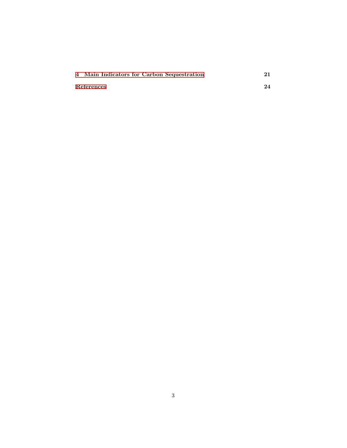| 4 Main Indicators for Carbon Sequestration |    |
|--------------------------------------------|----|
| References                                 | 24 |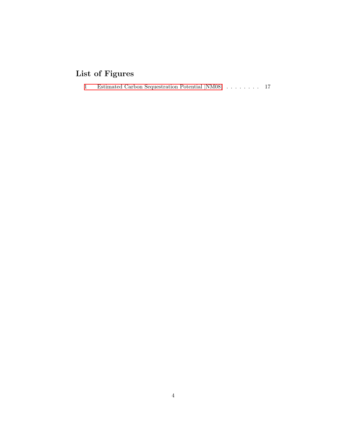# <span id="page-3-0"></span>**List of Figures**

[1 Estimated Carbon Sequestration Potential \[NM08\]](#page-16-2) . . . . . . . . 17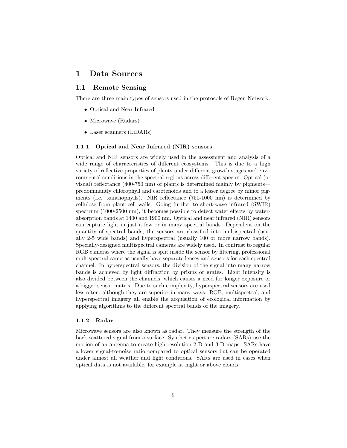# <span id="page-4-0"></span>**1 Data Sources**

# <span id="page-4-1"></span>**1.1 Remote Sensing**

There are three main types of sensors used in the protocols of Regen Network:

- *•* Optical and Near Infrared
- *•* Microwave (Radars)
- *•* Laser scanners (LiDARs)

### <span id="page-4-2"></span>**1.1.1 Optical and Near Infrared (NIR) sensors**

Optical and NIR sensors are widely used in the assessment and analysis of a wide range of characteristics of different ecosystems. This is due to a high variety of reflective properties of plants under different growth stages and environmental conditions in the spectral regions across different species. Optical (or visual) reflectance (400-750 nm) of plants is determined mainly by pigments predominantly chlorophyll and carotenoids and to a lesser degree by minor pigments (i.e. xanthophylls). NIR reflectance (750-1000 nm) is determined by cellulose from plant cell walls. Going further to short-wave infrared (SWIR) spectrum (1000-2500 nm), it becomes possible to detect water effects by waterabsorption bands at 1400 and 1900 nm. Optical and near infrared (NIR) sensors can capture light in just a few or in many spectral bands. Dependent on the quantity of spectral bands, the sensors are classified into multispectral (usually 2-5 wide bands) and hyperspectral (usually 100 or more narrow bands). Specially-designed multispectral cameras are widely used. In contrast to regular RGB cameras where the signal is split inside the sensor by filtering, professional multispectral cameras usually have separate lenses and sensors for each spectral channel. In hyperspectral sensors, the division of the signal into many narrow bands is achieved by light diffraction by prisms or grates. Light intensity is also divided between the channels, which causes a need for longer exposure or a bigger sensor matrix. Due to such complexity, hyperspectral sensors are used less often, although they are superior in many ways. RGB, multispectral, and hyperspectral imagery all enable the acquisition of ecological information by applying algorithms to the different spectral bands of the imagery.

#### <span id="page-4-3"></span>**1.1.2 Radar**

Microwave sensors are also known as radar. They measure the strength of the back-scattered signal from a surface. Synthetic-aperture radars (SARs) use the motion of an antenna to create high-resolution 2-D and 3-D maps. SARs have a lower signal-to-noise ratio compared to optical sensors but can be operated under almost all weather and light conditions. SARs are used in cases when optical data is not available, for example at night or above clouds.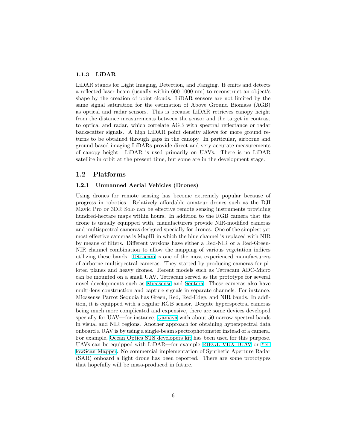#### <span id="page-5-0"></span>**1.1.3 LiDAR**

LiDAR stands for Light Imaging, Detection, and Ranging. It emits and detects a reflected laser beam (usually within 600-1000 nm) to reconstruct an object's shape by the creation of point clouds. LiDAR sensors are not limited by the same signal saturation for the estimation of Above Ground Biomass (AGB) as optical and radar sensors. This is because LiDAR retrieves canopy height from the distance measurements between the sensor and the target in contrast to optical and radar, which correlate AGB with spectral reflectance or radar backscatter signals. A high LiDAR point density allows for more ground returns to be obtained through gaps in the canopy. In particular, airborne and ground-based imaging LiDARs provide direct and very accurate measurements of canopy height. LiDAR is used primarily on UAVs. There is no LiDAR satellite in orbit at the present time, but some are in the development stage.

#### <span id="page-5-1"></span>**1.2 Platforms**

#### <span id="page-5-2"></span>**1.2.1 Unmanned Aerial Vehicles (Drones)**

Using drones for remote sensing has become extremely popular because of progress in robotics. Relatively affordable amateur drones such as the DJI Mavic Pro or 3DR Solo can be effective remote sensing instruments providing hundred-hectare maps within hours. In addition to the RGB camera that the drone is usually equipped with, manufacturers provide NIR-modified cameras and multispectral cameras designed specially for drones. One of the simplest yet most effective cameras is MapIR in which the blue channel is replaced with NIR by means of filters. Different versions have either a Red-NIR or a Red-Green-NIR channel combination to allow the mapping of various vegetation indices utilizing these bands. [Tetracam](http://www.tetracam.com) is one of the most experienced manufacturers of airborne multispectral cameras. They started by producing cameras for piloted planes and heavy drones. Recent models such as Tetracam ADC-Micro can be mounted on a small UAV. Tetracam served as the prototype for several novel developments such as [Micasense](https://www.micasense.com) and [Sentera](https://sentera.com/sensors). These cameras also have multi-lens construction and capture signals in separate channels. For instance, Micasense Parrot Sequoia has Green, Red, Red-Edge, and NIR bands. In addition, it is equipped with a regular RGB sensor. Despite hyperspectral cameras being much more complicated and expensive, there are some devices developed specially for UAV—for instance, [Gamaya](https://gamaya.com) with about 50 narrow spectral bands in visual and NIR regions. Another approach for obtaining hyperspectral data onboard a UAV is by using a single-beam spectrophotometer instead of a camera. For example, [Ocean Optics STS developers kit](https://oceanoptics.com/product/sts-developers-kit/) has been used for this purpose. UAVs can be equipped with LiDAR—for example [RIEGL VUX-1UAV](http://products.rieglusa.com/product/all-categories-unmanned-scanners/vux-1uav-survey-grade-unmanned-laser-scanners) or [Yel](http://www.yellowscan.fr/products/yellowscan-mapper2)[lowScan Mapper.](http://www.yellowscan.fr/products/yellowscan-mapper2) No commercial implementation of Synthetic Aperture Radar (SAR) onboard a light drone has been reported. There are some prototypes that hopefully will be mass-produced in future.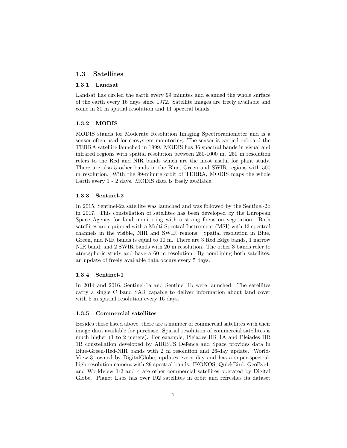## <span id="page-6-0"></span>**1.3 Satellites**

#### <span id="page-6-1"></span>**1.3.1 Landsat**

Landsat has circled the earth every 99 minutes and scanned the whole surface of the earth every 16 days since 1972. Satellite images are freely available and come in 30 m spatial resolution and 11 spectral bands.

#### <span id="page-6-2"></span>**1.3.2 MODIS**

MODIS stands for Moderate Resolution Imaging Spectroradiometer and is a sensor often used for ecosystem monitoring. The sensor is carried onboard the TERRA satellite launched in 1999. MODIS has 36 spectral bands in visual and infrared regions with spatial resolution between 250-1000 m. 250 m resolution refers to the Red and NIR bands which are the most useful for plant study. There are also 5 other bands in the Blue, Green and SWIR regions with 500 m resolution. With the 99-minute orbit of TERRA, MODIS maps the whole Earth every 1 - 2 days. MODIS data is freely available.

#### <span id="page-6-3"></span>**1.3.3 Sentinel-2**

In 2015, Sentinel-2a satellite was launched and was followed by the Sentinel-2b in 2017. This constellation of satellites has been developed by the European Space Agency for land monitoring with a strong focus on vegetation. Both satellites are equipped with a Multi-Spectral Instrument (MSI) with 13 spectral channels in the visible, NIR and SWIR regions. Spatial resolution in Blue, Green, and NIR bands is equal to 10 m. There are 3 Red Edge bands, 1 narrow NIR band, and 2 SWIR bands with 20 m resolution. The other 3 bands refer to atmospheric study and have a 60 m resolution. By combining both satellites, an update of freely available data occurs every 5 days.

#### <span id="page-6-4"></span>**1.3.4 Sentinel-1**

In 2014 and 2016, Sentinel-1a and Sentinel 1b were launched. The satellites carry a single C band SAR capable to deliver information about land cover with 5 m spatial resolution every 16 days.

#### <span id="page-6-5"></span>**1.3.5 Commercial satellites**

Besides those listed above, there are a number of commercial satellites with their image data available for purchase. Spatial resolution of commercial satellites is much higher (1 to 2 meters). For example, Pleiades HR 1A and Pleiades HR 1B constellation developed by AIRBUS Defence and Space provides data in Blue-Green-Red-NIR bands with 2 m resolution and 26-day update. World-View-3, owned by DigitalGlobe, updates every day and has a super-spectral, high resolution camera with 29 spectral bands. IKONOS, QuickBird, GeoEye1, and Worldview 1-2 and 4 are other commercial satellites operated by Digital Globe. Planet Labs has over 192 satellites in orbit and refreshes its dataset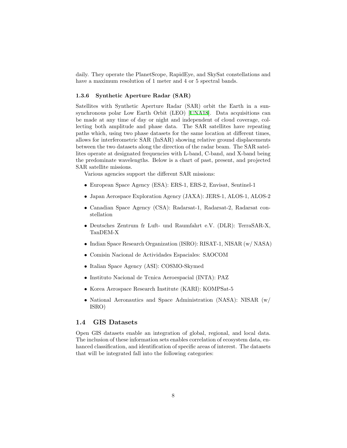daily. They operate the PlanetScope, RapidEye, and SkySat constellations and have a maximum resolution of 1 meter and 4 or 5 spectral bands.

#### <span id="page-7-0"></span>**1.3.6 Synthetic Aperture Radar (SAR)**

Satellites with Synthetic Aperture Radar (SAR) orbit the Earth in a sunsynchronous polar Low Earth Orbit (LEO) [[UNA18\]](#page-25-0). Data acquisitions can be made at any time of day or night and independent of cloud coverage, collecting both amplitude and phase data. The SAR satellites have repeating paths which, using two phase datasets for the same location at different times, allows for interferometric SAR (InSAR) showing relative ground displacements between the two datasets along the direction of the radar beam. The SAR satellites operate at designated frequencies with L-band, C-band, and X-band being the predominate wavelengths. Below is a chart of past, present, and projected SAR satellite missions.

Various agencies support the different SAR missions:

- *•* European Space Agency (ESA): ERS-1, ERS-2, Envisat, Sentinel-1
- *•* Japan Aerospace Exploration Agency (JAXA): JERS-1, ALOS-1, ALOS-2
- *•* Canadian Space Agency (CSA): Radarsat-1, Radarsat-2, Radarsat constellation
- *•* Deutsches Zentrum fr Luft- und Raumfahrt e.V. (DLR): TerraSAR-X, TanDEM-X
- *•* Indian Space Research Organization (ISRO): RISAT-1, NISAR (w/ NASA)
- *•* Comisin Nacional de Actividades Espaciales: SAOCOM
- *•* Italian Space Agency (ASI): COSMO-Skymed
- *•* Instituto Nacional de Tcnica Aeroespacial (INTA): PAZ
- *•* Korea Aerospace Research Institute (KARI): KOMPSat-5
- National Aeronautics and Space Administration (NASA): NISAR (w/ ISRO)

### <span id="page-7-1"></span>**1.4 GIS Datasets**

Open GIS datasets enable an integration of global, regional, and local data. The inclusion of these information sets enables correlation of ecosystem data, enhanced classification, and identification of specific areas of interest. The datasets that will be integrated fall into the following categories: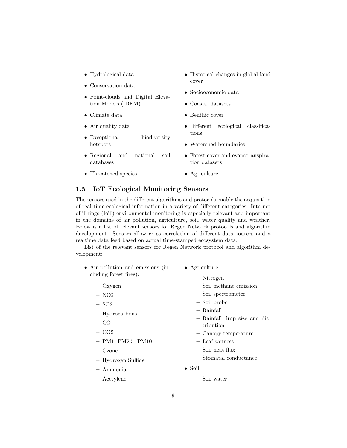- *•* Hydrological data
- *•* Conservation data
- *•* Point-clouds and Digital Elevation Models ( DEM)
- *•* Climate data
- *•* Air quality data
- *•* Exceptional biodiversity hotspots
- *•* Regional and national soil databases
- *•* Threatened species
- *•* Historical changes in global land cover
- *•* Socioeconomic data
- *•* Coastal datasets
- *•* Benthic cover
- *•* Different ecological classifications
- *•* Watershed boundaries
- *•* Forest cover and evapotranspiration datasets
- *•* Agriculture

# <span id="page-8-0"></span>**1.5 IoT Ecological Monitoring Sensors**

The sensors used in the different algorithms and protocols enable the acquisition of real time ecological information in a variety of different categories. Internet of Things (IoT) environmental monitoring is especially relevant and important in the domains of air pollution, agriculture, soil, water quality and weather. Below is a list of relevant sensors for Regen Network protocols and algorithm development. Sensors allow cross correlation of different data sources and a realtime data feed based on actual time-stamped ecosystem data.

List of the relevant sensors for Regen Network protocol and algorithm development:

- *•* Air pollution and emissions (including forest fires): *•* Agriculture
	- **–** Oxygen
	- **–** NO2
	- **–** SO2
	- **–** Hydrocarbons
	- **–** CO
	- **–** CO2
	- **–** PM1, PM2.5, PM10
	- **–** Ozone
	- **–** Hydrogen Sulfide
	- **–** Ammonia
	- **–** Acetylene
- **–** Nitrogen
- **–** Soil methane emission
- **–** Soil spectrometer
- **–** Soil probe
- **–** Rainfall
- **–** Rainfall drop size and distribution
- **–** Canopy temperature
- **–** Leaf wetness
- **–** Soil heat flux
- **–** Stomatal conductance
- *•* Soil
	- **–** Soil water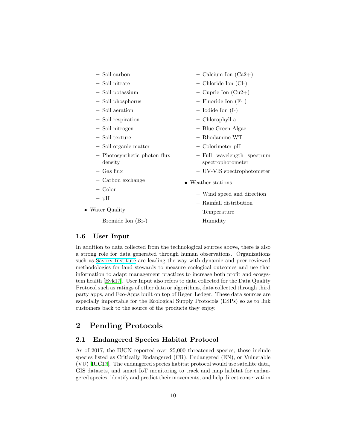| - Soil carbon                           | $-$ Calcium Ion (Ca2+)                          |
|-----------------------------------------|-------------------------------------------------|
| - Soil nitrate                          | - Chloride Ion (Cl-)                            |
| - Soil potassium                        | $-$ Cupric Ion (Cu2+)                           |
| - Soil phosphorus                       | $-$ Fluoride Ion (F-)                           |
| - Soil aeration                         | $-$ Iodide Ion $(I-)$                           |
| - Soil respiration                      | - Chlorophyll a                                 |
| - Soil nitrogen                         | - Blue-Green Algae                              |
| - Soil texture                          | - Rhodamine WT                                  |
| - Soil organic matter                   | - Colorimeter pH                                |
| - Photosynthetic photon flux<br>density | - Full wavelength spectrum<br>spectrophotometer |
| – Gas flux                              | - UV-VIS spectrophotometer                      |
| - Carbon exchange                       | • Weather stations                              |
| - Color                                 |                                                 |
| $-$ pH                                  | - Wind speed and direction                      |
| • Water Quality                         | - Rainfall distribution<br>- Temperature        |
| - Bromide Ion (Br-)                     | - Humidity                                      |

# <span id="page-9-0"></span>**1.6 User Input**

In addition to data collected from the technological sources above, there is also a strong role for data generated through human observations. Organizations such as [Savory Institute](https://www.savory.global) are leading the way with dynamic and peer reviewed methodologies for land stewards to measure ecological outcomes and use that information to adapt management practices to increase both profit and ecosystem health [\[Eyk17\]](#page-23-1). User Input also refers to data collected for the Data Quality Protocol such as ratings of other data or algorithms, data collected through third party apps, and Eco-Apps built on top of Regen Ledger. These data sources are especially importable for the Ecological Supply Protocols (ESPs) so as to link customers back to the source of the products they enjoy.

# <span id="page-9-1"></span>**2 Pending Protocols**

# <span id="page-9-2"></span>**2.1 Endangered Species Habitat Protocol**

As of 2017, the IUCN reported over 25,000 threatened species; those include species listed as Critically Endangered (CR), Endangered (EN), or Vulnerable (VU) [[IUC17\]](#page-23-2). The endangered species habitat protocol would use satellite data, GIS datasets, and smart IoT monitoring to track and map habitat for endangered species, identify and predict their movements, and help direct conservation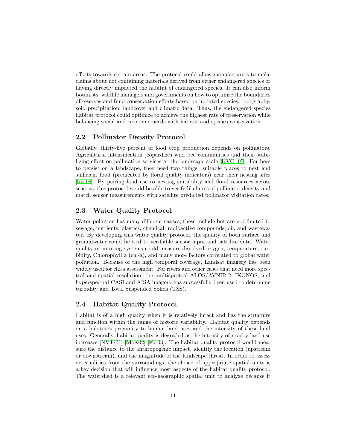efforts towards certain areas. The protocol could allow manufacturers to make claims about not containing materials derived from either endangered species or having directly impacted the habitat of endangered species. It can also inform botanists, wildlife managers and governments on how to optimize the boundaries of reserves and fund conservation efforts based on updated species, topography, soil, precipitation, landcover and climatic data. Thus, the endangered species habitat protocol could optimize to achieve the highest rate of preservation while balancing social and economic needs with habitat and species conservation.

# <span id="page-10-0"></span>**2.2 Pollinator Density Protocol**

Globally, thirty-five percent of food crop production depends on pollinators. Agricultural intensification jeopardizes wild bee communities and their stabilizing effect on pollination services at the landscape scale  $[KVC<sup>+</sup>07]$  $[KVC<sup>+</sup>07]$  $[KVC<sup>+</sup>07]$ . For bees to persist on a landscape, they need two things: suitable places to nest and sufficient food (predicated by floral quality indicators) near their nesting sites [[inv18\]](#page-23-3). By pairing land use to nesting suitability and floral resources across seasons, this protocol would be able to verify likeliness of pollinator density and match sensor measurements with satellite predicted pollinator visitation rates.

# <span id="page-10-1"></span>**2.3 Water Quality Protocol**

Water pollution has many different causes; these include but are not limited to sewage, nutrients, plastics, chemical, radioactive compounds, oil, and wastewater. By developing this water quality protocol, the quality of both surface and groundwater could be tied to verifiable sensor input and satellite data. Water quality monitoring systems could measure dissolved oxygen, temperature, turbidity, Chlorophyll a (chl-a), and many more factors correlated to global water pollution. Because of the high temporal coverage, Landsat imagery has been widely used for chl-a assessment. For rivers and other cases that need more spectral and spatial resolution, the multispectral ALOS/AVNIR-2, IKONOS, and hyperspectral CASI and AISA imagery has successfully been used to determine turbidity and Total Suspended Solids (TSS).

## <span id="page-10-2"></span>**2.4 Habitat Quality Protocol**

Habitat is of a high quality when it is relatively intact and has the structure and function within the range of historic variability. Habitat quality depends on a habitat?s proximity to human land uses and the intensity of these land uses. Generally, habitat quality is degraded as the intensity of nearby land-use increases [\[NVJS01\]](#page-24-1) [\[McK02](#page-24-2)] [\[For03\]](#page-23-4). The habitat quality protocol would measure the distance to the anthropogenic impact, identify the location (upstream or downstream), and the magnitude of the landscape threat. In order to assess externalities from the surroundings, the choice of appropriate spatial units is a key decision that will influence most aspects of the habitat quality protocol. The watershed is a relevant eco-geographic spatial unit to analyze because it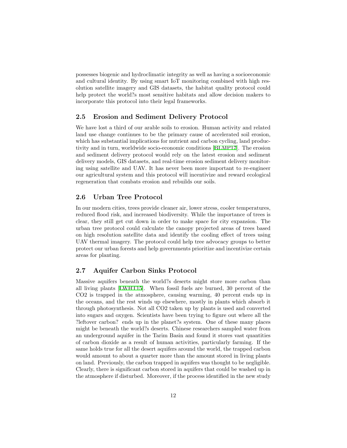possesses biogenic and hydroclimatic integrity as well as having a socioeconomic and cultural identity. By using smart IoT monitoring combined with high resolution satellite imagery and GIS datasets, the habitat quality protocol could help protect the world?s most sensitive habitats and allow decision makers to incorporate this protocol into their legal frameworks.

# <span id="page-11-0"></span>**2.5 Erosion and Sediment Delivery Protocol**

We have lost a third of our arable soils to erosion. Human activity and related land use change continues to be the primary cause of accelerated soil erosion, which has substantial implications for nutrient and carbon cycling, land productivity and in turn, worldwide socio-economic conditions [[BLMP17](#page-23-5)]. The erosion and sediment delivery protocol would rely on the latest erosion and sediment delivery models, GIS datasets, and real-time erosion sediment delivery monitoring using satellite and UAV. It has never been more important to re-engineer our agricultural system and this protocol will incentivize and reward ecological regeneration that combats erosion and rebuilds our soils.

# <span id="page-11-1"></span>**2.6 Urban Tree Protocol**

In our modern cities, trees provide cleaner air, lower stress, cooler temperatures, reduced flood risk, and increased biodiversity. While the importance of trees is clear, they still get cut down in order to make space for city expansion. The urban tree protocol could calculate the canopy projected areas of trees based on high resolution satellite data and identify the cooling effect of trees using UAV thermal imagery. The protocol could help tree advocacy groups to better protect our urban forests and help governments prioritize and incentivize certain areas for planting.

# <span id="page-11-2"></span>**2.7 Aquifer Carbon Sinks Protocol**

Massive aquifers beneath the world?s deserts might store more carbon than all living plants [[LWHT15\]](#page-24-3). When fossil fuels are burned, 30 percent of the CO2 is trapped in the atmosphere, causing warming, 40 percent ends up in the oceans, and the rest winds up elsewhere, mostly in plants which absorb it through photosynthesis. Not all CO2 taken up by plants is used and converted into sugars and oxygen. Scientists have been trying to figure out where all the ?leftover carbon? ends up in the planet?s system. One of these many places might be beneath the world?s deserts. Chinese researchers sampled water from an underground aquifer in the Tarim Basin and found it stores vast quantities of carbon dioxide as a result of human activities, particularly farming. If the same holds true for all the desert aquifers around the world, the trapped carbon would amount to about a quarter more than the amount stored in living plants on land. Previously, the carbon trapped in aquifers was thought to be negligible. Clearly, there is significant carbon stored in aquifers that could be washed up in the atmosphere if disturbed. Moreover, if the process identified in the new study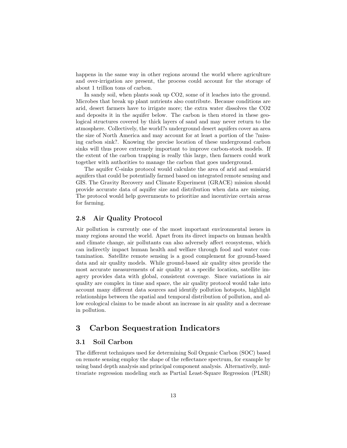happens in the same way in other regions around the world where agriculture and over-irrigation are present, the process could account for the storage of about 1 trillion tons of carbon.

In sandy soil, when plants soak up CO2, some of it leaches into the ground. Microbes that break up plant nutrients also contribute. Because conditions are arid, desert farmers have to irrigate more; the extra water dissolves the CO2 and deposits it in the aquifer below. The carbon is then stored in these geological structures covered by thick layers of sand and may never return to the atmosphere. Collectively, the world?s underground desert aquifers cover an area the size of North America and may account for at least a portion of the ?missing carbon sink?. Knowing the precise location of these underground carbon sinks will thus prove extremely important to improve carbon-stock models. If the extent of the carbon trapping is really this large, then farmers could work together with authorities to manage the carbon that goes underground.

The aquifer C-sinks protocol would calculate the area of arid and semiarid aquifers that could be potentially farmed based on integrated remote sensing and GIS. The Gravity Recovery and Climate Experiment (GRACE) mission should provide accurate data of aquifer size and distribution when data are missing. The protocol would help governments to prioritize and incentivize certain areas for farming.

## <span id="page-12-0"></span>**2.8 Air Quality Protocol**

Air pollution is currently one of the most important environmental issues in many regions around the world. Apart from its direct impacts on human health and climate change, air pollutants can also adversely affect ecosystems, which can indirectly impact human health and welfare through food and water contamination. Satellite remote sensing is a good complement for ground-based data and air quality models. While ground-based air quality sites provide the most accurate measurements of air quality at a specific location, satellite imagery provides data with global, consistent coverage. Since variations in air quality are complex in time and space, the air quality protocol would take into account many different data sources and identify pollution hotspots, highlight relationships between the spatial and temporal distribution of pollution, and allow ecological claims to be made about an increase in air quality and a decrease in pollution.

# <span id="page-12-1"></span>**3 Carbon Sequestration Indicators**

# <span id="page-12-2"></span>**3.1 Soil Carbon**

The different techniques used for determining Soil Organic Carbon (SOC) based on remote sensing employ the shape of the reflectance spectrum, for example by using band depth analysis and principal component analysis. Alternatively, multivariate regression modeling such as Partial Least-Square Regression (PLSR)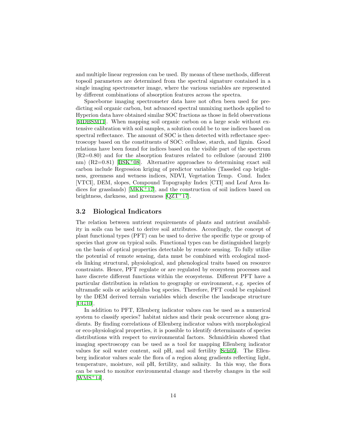and multiple linear regression can be used. By means of these methods, different topsoil parameters are determined from the spectral signature contained in a single imaging spectrometer image, where the various variables are represented by different combinations of absorption features across the spectra.

Spaceborne imaging spectrometer data have not often been used for predicting soil organic carbon, but advanced spectral unmixing methods applied to Hyperion data have obtained similar SOC fractions as those in field observations [[MDBSM11\]](#page-24-4). When mapping soil organic carbon on a large scale without extensive calibration with soil samples, a solution could be to use indices based on spectral reflectance. The amount of SOC is then detected with reflectance spectroscopy based on the constituents of SOC: cellulose, starch, and lignin. Good relations have been found for indices based on the visible part of the spectrum (R2=0.80) and for the absorption features related to cellulose (around 2100 nm)  $(R2=0.81)$  [[BSK](#page-23-6)<sup>+</sup>08]. Alternative approaches to determining exact soil carbon include Regression kriging of predictor variables (Tasseled cap brightness, greenness and wetness indices, NDVI, Vegetation Temp. Cond. Index [VTCI], DEM, slopes, Compound Topography Index [CTI] and Leaf Area Indices for grasslands)  $[MKK+17]$  $[MKK+17]$ , and the construction of soil indices based on brightness, darkness, and greenness [[QZT](#page-25-1)<sup>+</sup>17].

## <span id="page-13-0"></span>**3.2 Biological Indicators**

The relation between nutrient requirements of plants and nutrient availability in soils can be used to derive soil attributes. Accordingly, the concept of plant functional types (PFT) can be used to derive the specific type or group of species that grow on typical soils. Functional types can be distinguished largely on the basis of optical properties detectable by remote sensing. To fully utilize the potential of remote sensing, data must be combined with ecological models linking structural, physiological, and phenological traits based on resource constraints. Hence, PFT regulate or are regulated by ecosystem processes and have discrete different functions within the ecosystems. Different PFT have a particular distribution in relation to geography or environment, e.g. species of ultramafic soils or acidophilus bog species. Therefore, PFT could be explained by the DEM derived terrain variables which describe the landscape structure [[UG10\]](#page-25-2).

In addition to PFT, Ellenberg indicator values can be used as a numerical system to classify species? habitat niches and their peak occurrence along gradients. By finding correlations of Ellenberg indicator values with morphological or eco-physiological properties, it is possible to identify determinants of species distributions with respect to environmental factors. Schmidtlein showed that imaging spectroscopy can be used as a tool for mapping Ellenberg indicator values for soil water content, soil pH, and soil fertility [[Sch05](#page-25-3)]. The Ellenberg indicator values scale the flora of a region along gradients reflecting light, temperature, moisture, soil pH, fertility, and salinity. In this way, the flora can be used to monitor environmental change and thereby changes in the soil  $[WMS+14]$  $[WMS+14]$  $[WMS+14]$ .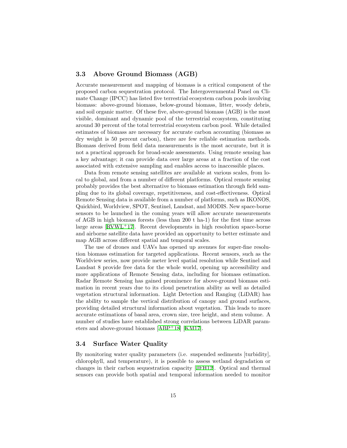# <span id="page-14-0"></span>**3.3 Above Ground Biomass (AGB)**

Accurate measurement and mapping of biomass is a critical component of the proposed carbon sequestration protocol. The Intergovernmental Panel on Climate Change (IPCC) has listed five terrestrial ecosystem carbon pools involving biomass: above-ground biomass, below-ground biomass, litter, woody debris, and soil organic matter. Of these five, above-ground biomass (AGB) is the most visible, dominant and dynamic pool of the terrestrial ecosystem, constituting around 30 percent of the total terrestrial ecosystem carbon pool. While detailed estimates of biomass are necessary for accurate carbon accounting (biomass as dry weight is 50 percent carbon), there are few reliable estimation methods. Biomass derived from field data measurements is the most accurate, but it is not a practical approach for broad-scale assessments. Using remote sensing has a key advantage; it can provide data over large areas at a fraction of the cost associated with extensive sampling and enables access to inaccessible places.

Data from remote sensing satellites are available at various scales, from local to global, and from a number of different platforms. Optical remote sensing probably provides the best alternative to biomass estimation through field sampling due to its global coverage, repetitiveness, and cost-effectiveness. Optical Remote Sensing data is available from a number of platforms, such as IKONOS, Quickbird, Worldview, SPOT, Sentinel, Landsat, and MODIS. New space-borne sensors to be launched in the coming years will allow accurate measurements of AGB in high biomass forests (less than 200 t ha-1) for the first time across large areas  $[RVWL+17]$  $[RVWL+17]$ . Recent developments in high resolution space-borne and airborne satellite data have provided an opportunity to better estimate and map AGB across different spatial and temporal scales.

The use of drones and UAVs has opened up avenues for super-fine resolution biomass estimation for targeted applications. Recent sensors, such as the Worldview series, now provide meter level spatial resolution while Sentinel and Landsat 8 provide free data for the whole world, opening up accessibility and more applications of Remote Sensing data, including for biomass estimation. Radar Remote Sensing has gained prominence for above-ground biomass estimation in recent years due to its cloud penetration ability as well as detailed vegetation structural information. Light Detection and Ranging (LiDAR) has the ability to sample the vertical distribution of canopy and ground surfaces, providing detailed structural information about vegetation. This leads to more accurate estimations of basal area, crown size, tree height, and stem volume. A number of studies have established strong correlations between LiDAR parameters and above-ground biomass [[ABP](#page-23-7)<sup>+</sup>18] [\[KM17](#page-24-6)].

# <span id="page-14-1"></span>**3.4 Surface Water Quality**

By monitoring water quality parameters (i.e. suspended sediments [turbidity], chlorophyll, and temperature), it is possible to assess wetland degradation or changes in their carbon sequestration capacity [\[JFH12](#page-23-8)]. Optical and thermal sensors can provide both spatial and temporal information needed to monitor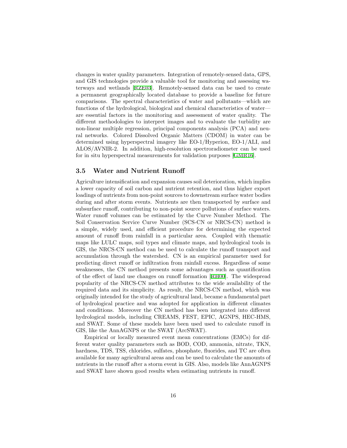changes in water quality parameters. Integration of remotely-sensed data, GPS, and GIS technologies provide a valuable tool for monitoring and assessing waterways and wetlands [[RZE03\]](#page-25-6). Remotely-sensed data can be used to create a permanent geographically located database to provide a baseline for future comparisons. The spectral characteristics of water and pollutants—which are functions of the hydrological, biological and chemical characteristics of water are essential factors in the monitoring and assessment of water quality. The different methodologies to interpret images and to evaluate the turbidity are non-linear multiple regression, principal components analysis (PCA) and neural networks. Colored Dissolved Organic Matters (CDOM) in water can be determined using hyperspectral imagery like EO-1/Hyperion, EO-1/ALI, and ALOS/AVNIR-2. In addition, high-resolution spectroradiometer can be used for in situ hyperspectral measurements for validation purposes [\[GMR16\]](#page-23-9).

# <span id="page-15-0"></span>**3.5 Water and Nutrient Runoff**

Agriculture intensification and expansion causes soil deterioration, which implies a lower capacity of soil carbon and nutrient retention, and thus higher export loadings of nutrients from non-point sources to downstream surface water bodies during and after storm events. Nutrients are then transported by surface and subsurface runoff, contributing to non-point source pollutions of surface waters. Water runoff volumes can be estimated by the Curve Number Method. The Soil Conservation Service Curve Number (SCS-CN or NRCS-CN) method is a simple, widely used, and efficient procedure for determining the expected amount of runoff from rainfall in a particular area. Coupled with thematic maps like LULC maps, soil types and climate maps, and hydrological tools in GIS, the NRCS-CN method can be used to calculate the runoff transport and accumulation through the watershed. CN is an empirical parameter used for predicting direct runoff or infiltration from rainfall excess. Regardless of some weaknesses, the CN method presents some advantages such as quantification of the effect of land use changes on runoff formation [[RH00\]](#page-25-7). The widespread popularity of the NRCS-CN method attributes to the wide availability of the required data and its simplicity. As result, the NRCS-CN method, which was originally intended for the study of agricultural land, became a fundamental part of hydrological practice and was adopted for application in different climates and conditions. Moreover the CN method has been integrated into different hydrological models, including CREAMS, FEST, EPIC, AGNPS, HEC-HMS, and SWAT. Some of these models have been used used to calculate runoff in GIS, like the AnnAGNPS or the SWAT (ArcSWAT).

Empirical or locally measured event mean concentrations (EMCs) for different water quality parameters such as BOD, COD, ammonia, nitrate, TKN, hardness, TDS, TSS, chlorides, sulfates, phosphate, fluorides, and TC are often available for many agricultural areas and can be used to calculate the amounts of nutrients in the runoff after a storm event in GIS. Also, models like AnnAGNPS and SWAT have shown good results when estimating nutrients in runoff.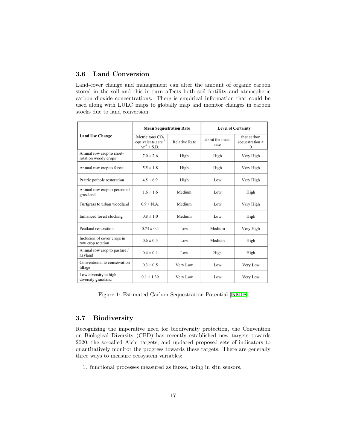# <span id="page-16-0"></span>**3.6 Land Conversion**

Land-cover change and management can alter the amount of organic carbon stored in the soil and this in turn affects both soil fertility and atmospheric carbon dioxide concentrations. There is empirical information that could be used along with LULC maps to globally map and monitor changes in carbon stocks due to land conversion.

|                                                   | <b>Mean Sequestration Rate</b>                                                      |                      | <b>Level of Certainty</b> |                                     |
|---------------------------------------------------|-------------------------------------------------------------------------------------|----------------------|---------------------------|-------------------------------------|
| <b>Land Use Change</b>                            | Metric tons CO <sub>2</sub><br>equivalents acre <sup>-1</sup><br>$yr^{-1} \pm S.D.$ | <b>Relative Rate</b> | about the mean<br>rate    | that carbon<br>sequestration ><br>0 |
| Annual row crop to short-<br>rotation woody crops | $7.0 \pm 2.6$                                                                       | High                 | High                      | Very High                           |
| Annual row crop to forest                         | $5.5 \pm 1.8$                                                                       | High                 | High                      | Very High                           |
| Prairie pothole restoration                       | $4.5 \pm 6.9$                                                                       | High                 | Low                       | Very High                           |
| Annual row crop to perennial<br>grassland         | $1.6 \pm 1.6$                                                                       | Medium               | Low                       | High                                |
| Turfgrass to urban woodland                       | $0.9 \pm N.A$                                                                       | Medium               | Low                       | Very High                           |
| Enhanced forest stocking                          | $0.8 \pm 1.0$                                                                       | Medium               | Low                       | High                                |
| Peatland restoration                              | $0.74 \pm 0.4$                                                                      | Low                  | Medium                    | Very High                           |
| Inclusion of cover crops in<br>row crop rotation  | $0.6 \pm 0.3$                                                                       | Low                  | Medium                    | High                                |
| Annual row crop to pasture /<br>hayland           | $0.4 \pm 0.1$                                                                       | Low                  | High                      | High                                |
| Conventional to conservation<br>tillage           | $0.3 \pm 0.5$                                                                       | Very Low             | Low                       | Very Low                            |
| Low diversity to high<br>diversity grassland      | $0.1 \pm 1.39$                                                                      | Very Low             | Low                       | Very Low                            |

<span id="page-16-2"></span>Figure 1: Estimated Carbon Sequestration Potential [\[NM08](#page-24-7)]

# <span id="page-16-1"></span>**3.7 Biodiversity**

Recognizing the imperative need for biodiversity protection, the Convention on Biological Diversity (CBD) has recently established new targets towards 2020, the so-called Aichi targets, and updated proposed sets of indicators to quantitatively monitor the progress towards these targets. There are generally three ways to measure ecosystem variables:

1. functional processes measured as fluxes, using in situ sensors,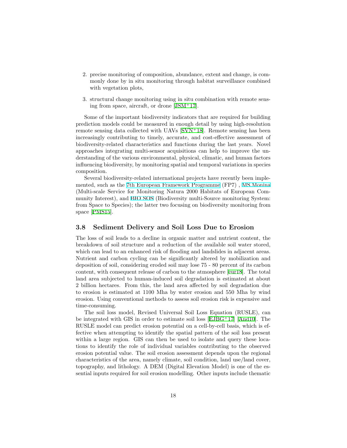- 2. precise monitoring of composition, abundance, extent and change, is commonly done by in situ monitoring through habitat surveillance combined with vegetation plots,
- 3. structural change monitoring using in situ combination with remote sensing from space, aircraft, or drone [[JSM](#page-24-8)<sup>+</sup>17].

Some of the important biodiversity indicators that are required for building prediction models could be measured in enough detail by using high-resolution remote sensing data collected with UAVs [\[SVN](#page-25-8)<sup>+</sup>18]. Remote sensing has been increasingly contributing to timely, accurate, and cost-effective assessment of biodiversity-related characteristics and functions during the last years. Novel approaches integrating multi-sensor acquisitions can help to improve the understanding of the various environmental, physical, climatic, and human factors influencing biodiversity, by monitoring spatial and temporal variations in species composition.

Several biodiversity-related international projects have recently been implemented, such as the [7th European Framework Programme](https://ec.europa.eu/research/fp7/index_en.cfm) (FP7) , [MS.Monina](https://sites.google.com/site/wwwmsmoninaeu/) (Multi-scale Service for Monitoring Natura 2000 Habitats of European Community Interest), and [BIO SOS](http://www.biosos.eu) (Biodiversity multi-Source monitoring System: from Space to Species); the latter two focusing on biodiversity monitoring from space [\[PMS15\]](#page-25-9).

## <span id="page-17-0"></span>**3.8 Sediment Delivery and Soil Loss Due to Erosion**

The loss of soil leads to a decline in organic matter and nutrient content, the breakdown of soil structure and a reduction of the available soil water stored, which can lead to an enhanced risk of flooding and landslides in adjacent areas. Nutrient and carbon cycling can be significantly altered by mobilization and deposition of soil, considering eroded soil may lose 75 - 80 percent of its carbon content, with consequent release of carbon to the atmosphere [\[eur18](#page-23-10)]. The total land area subjected to human-induced soil degradation is estimated at about 2 billion hectares. From this, the land area affected by soil degradation due to erosion is estimated at 1100 Mha by water erosion and 550 Mha by wind erosion. Using conventional methods to assess soil erosion risk is expensive and time-consuming.

The soil loss model, Revised Universal Soil Loss Equation (RUSLE), can be integrated with GIS in order to estimate soil loss [[EJBG](#page-23-11)<sup>+</sup>17] [\[And10\]](#page-23-12). The RUSLE model can predict erosion potential on a cell-by-cell basis, which is effective when attempting to identify the spatial pattern of the soil loss present within a large region. GIS can then be used to isolate and query these locations to identify the role of individual variables contributing to the observed erosion potential value. The soil erosion assessment depends upon the regional characteristics of the area, namely climate, soil condition, land use/land cover, topography, and lithology. A DEM (Digital Elevation Model) is one of the essential inputs required for soil erosion modelling. Other inputs include thematic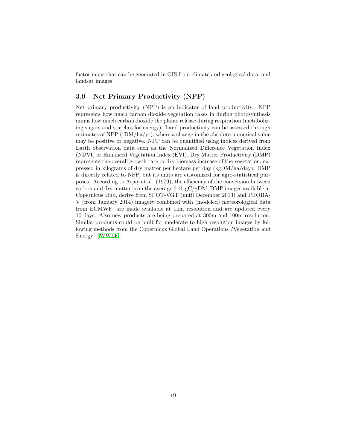factor maps that can be generated in GIS from climate and geological data, and landsat images.

# <span id="page-18-0"></span>**3.9 Net Primary Productivity (NPP)**

Net primary productivity (NPP) is an indicator of land productivity. NPP represents how much carbon dioxide vegetation takes in during photosynthesis minus how much carbon dioxide the plants release during respiration (metabolizing sugars and starches for energy). Land productivity can be assessed through estimates of NPP ( $tDM/ha/yr$ ), where a change in the absolute numerical value may be positive or negative. NPP can be quantified using indices derived from Earth observation data such as the Normalized Difference Vegetation Index (NDVI) or Enhanced Vegetation Index (EVI). Dry Matter Productivity (DMP) represents the overall growth rate or dry biomass increase of the vegetation, expressed in kilograms of dry matter per hectare per day (kgDM/ha/day). DMP is directly related to NPP, but its units are customized for agro-statistical purposes. According to Atjay et al. (1979), the efficiency of the conversion between carbon and dry matter is on the average 0.45 gC/gDM. DMP images available at Copernicus Hub, derive from SPOT-VGT (until December 2013) and PROBA-V (from January 2014) imagery combined with (modeled) meteorological data from ECMWF, are made available at 1km resolution and are updated every 10 days. Also new products are being prepared at 300m and 100m resolution. Similar products could be built for moderate to high resolution images by following methods from the Copernicus Global Land Operations ?Vegetation and Energy" [[WWLF\]](#page-25-10).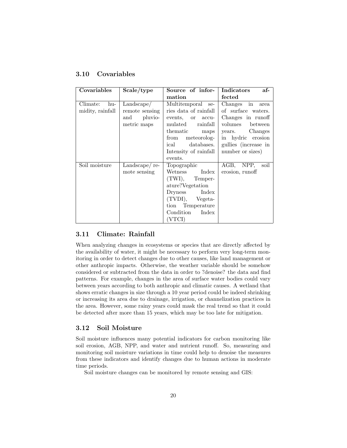| Covariables      | Scale/type     | Source of infor-                       | Indicators<br>af-    |
|------------------|----------------|----------------------------------------|----------------------|
|                  |                | mation                                 | fected               |
| Climate:<br>hu-  | Landscape/     | Multitemporal se-                      | $Changes$ in<br>area |
| midity, rainfall | remote sensing | ries data of rainfall                  | of surface waters.   |
|                  | and<br>pluvio- | events, or accu-                       | Changes in runoff    |
|                  | metric maps    | rainfall<br>$\mathop{\mathrm{multad}}$ | volumes between      |
|                  |                | thematic<br>maps                       | years. Changes       |
|                  |                | meteorolog-<br>from                    | in hydric erosion    |
|                  |                | databases.<br>ical                     | gullies (increase in |
|                  |                | Intensity of rainfall                  | number or sizes)     |
|                  |                | events.                                |                      |
| Soil moisture    | Landscape/re-  | Topographic                            | AGB, NPP,<br>soil    |
|                  | mote sensing   | Index<br>Wetness                       | erosion, runoff      |
|                  |                | $(TWI)$ , Temper-                      |                      |
|                  |                | ature?Vegetation                       |                      |
|                  |                | Dryness Index                          |                      |
|                  |                | (TVDI), Vegeta-                        |                      |
|                  |                | tion Temperature                       |                      |
|                  |                | Condition<br>Index                     |                      |
|                  |                | (VTCI)                                 |                      |

# <span id="page-19-0"></span>**3.10 Covariables**

# <span id="page-19-1"></span>**3.11 Climate: Rainfall**

When analyzing changes in ecosystems or species that are directly affected by the availability of water, it might be necessary to perform very long-term monitoring in order to detect changes due to other causes, like land management or other anthropic impacts. Otherwise, the weather variable should be somehow considered or subtracted from the data in order to ?denoise? the data and find patterns. For example, changes in the area of surface water bodies could vary between years according to both anthropic and climatic causes. A wetland that shows erratic changes in size through a 10 year period could be indeed shrinking or increasing its area due to drainage, irrigation, or channelization practices in the area. However, some rainy years could mask the real trend so that it could be detected after more than 15 years, which may be too late for mitigation.

# <span id="page-19-2"></span>**3.12 Soil Moisture**

Soil moisture influences many potential indicators for carbon monitoring like soil erosion, AGB, NPP, and water and nutrient runoff. So, measuring and monitoring soil moisture variations in time could help to denoise the measures from these indicators and identify changes due to human actions in moderate time periods.

Soil moisture changes can be monitored by remote sensing and GIS: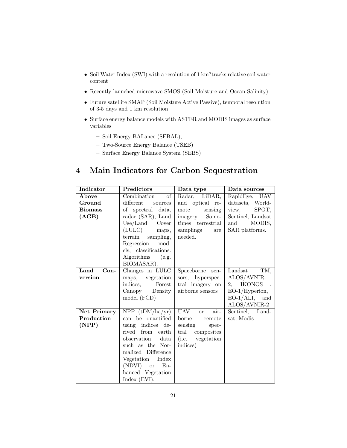- *•* Soil Water Index (SWI) with a resolution of 1 km?tracks relative soil water content
- *•* Recently launched microwave SMOS (Soil Moisture and Ocean Salinity)
- *•* Future satellite SMAP (Soil Moisture Active Passive), temporal resolution of 3-5 days and 1 km resolution
- *•* Surface energy balance models with ASTER and MODIS images as surface variables
	- **–** Soil Energy BALance (SEBAL),
	- **–** Two-Source Energy Balance (TSEB)
	- **–** Surface Energy Balance System (SEBS)

# <span id="page-20-0"></span>**4 Main Indicators for Carbon Sequestration**

| Indicator      | Predictors                            | Data type                             | Data sources        |
|----------------|---------------------------------------|---------------------------------------|---------------------|
| Above          | $\overline{\text{of}}$<br>Combination | Radar, LiDAR,                         | RapidEye, UAV       |
| Ground         | different<br>sources                  | and optical re-                       | datasets, World-    |
| <b>Biomass</b> | of spectral data,                     | mote<br>sensing                       | view,<br>SPOT,      |
| (AGB)          | radar (SAR), Land                     | imagery. Some-                        | Sentinel, Landsat   |
|                | $Use/Land$ Cover                      | times terrestrial                     | MODIS,<br>and       |
|                | (LULC)<br>maps,                       | samplings<br>are                      | SAR platforms.      |
|                | terrain<br>sampling,                  | needed.                               |                     |
|                | Regression mod-                       |                                       |                     |
|                | els, classifications.                 |                                       |                     |
|                | Algorithms (e.g.                      |                                       |                     |
|                | BIOMASAR).                            |                                       |                     |
| Land<br>$Con-$ | Changes in LULC                       | Spaceborne<br>sen-                    | Landsat<br>TM,      |
| version        | maps, vegetation                      | sors, hyperspec-                      | ALOS/AVNIR-         |
|                | indices,<br>Forest                    | tral imagery on                       | 2, IKONOS           |
|                | Canopy Density                        | airborne sensors                      | $EO-1/Hy$ perion,   |
|                | model (FCD)                           |                                       | $EO-1/ALI$ ,<br>and |
|                |                                       |                                       | $ALOS/AVNIR-2$      |
| Net Primary    | NPP (tDM/ha/yr)                       | $\overline{UAV}$<br>air-<br><b>or</b> | Sentinel, Land-     |
| Production     | can be quantified                     | borne remote                          | sat, Modis          |
| (NPP)          | using indices de-                     | sensing<br>spec-                      |                     |
|                | rived from earth                      | tral composites                       |                     |
|                | observation data                      | (i.e. vegetation                      |                     |
|                | such as the Nor-                      | indices)                              |                     |
|                | malized Difference                    |                                       |                     |
|                | Vegetation Index                      |                                       |                     |
|                | (NDVI) or<br>$En-$                    |                                       |                     |
|                | hanced Vegetation                     |                                       |                     |
|                | Index $(EVI)$ .                       |                                       |                     |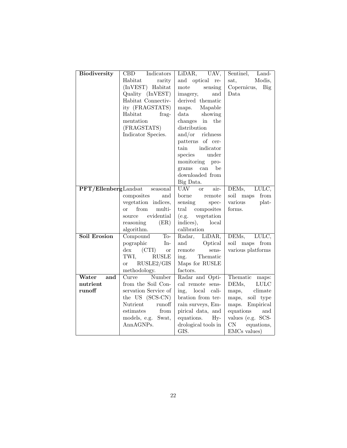| <b>Biodiversity</b>     | CBD<br>Indicators                                          | LiDAR, UAV,                 | Sentinel,<br>Land-          |
|-------------------------|------------------------------------------------------------|-----------------------------|-----------------------------|
|                         | Habitat<br>rarity                                          | and optical re-             | Modis,<br>sat.              |
|                         | (InVEST) Habitat                                           | mote<br>sensing             | Copernicus,<br>Big          |
|                         | Quality (InVEST)                                           | and<br>imagery,             | Data                        |
|                         | Habitat Connectiv-                                         | derived thematic            |                             |
|                         | ity (FRAGSTATS)                                            | Mapable<br>maps.            |                             |
|                         | Habitat<br>frag-                                           | data<br>showing             |                             |
|                         | mentation                                                  | changes in the              |                             |
|                         | (FRAGSTATS)                                                | distribution                |                             |
|                         | Indicator Species.                                         | and/or $\Gamma$ richness    |                             |
|                         |                                                            | patterns of cer-            |                             |
|                         |                                                            | indicator<br>tain           |                             |
|                         |                                                            | under<br>species            |                             |
|                         |                                                            | monitoring<br>pro-          |                             |
|                         |                                                            | can<br>be<br>grams          |                             |
|                         |                                                            | downloaded from             |                             |
|                         |                                                            | Big Data.                   |                             |
| $PFT/Ellenberg$ Landsat | seasonal                                                   | <b>UAV</b><br>or or<br>air- | DEMs,<br>LULC,              |
|                         | composites<br>and                                          | borne<br>remote             | soil maps<br>from           |
|                         | vegetation indices,                                        | sensing<br>spec-            | various<br>plat-            |
|                         | from<br>multi-<br>$\alpha$                                 | tral<br>composites          | forms.                      |
|                         | evidential<br>source                                       | vegetation<br>(e.g.         |                             |
|                         | (ER)<br>reasoning                                          | indices),<br>local          |                             |
|                         | algorithm.                                                 | calibration                 |                             |
| Soil Erosion            | Compound<br>$To-$                                          | Radar, LiDAR,               | DEMs, LULC,                 |
|                         | pographic<br>$In-$                                         | and<br>Optical              | soil maps<br>from           |
|                         | $\mathrm{dex}$<br>$\left( \text{CTI} \right)$<br><b>or</b> | remote<br>sens-             | various platforms           |
|                         | TWI,<br><b>RUSLE</b>                                       | Thematic<br>ing.            |                             |
|                         | RUSLE2/GIS<br><b>or</b>                                    | Maps for RUSLE              |                             |
|                         | methodology.                                               | factors.                    |                             |
| Water<br>and            | Number<br>Curve                                            | Radar and Opti-             | Thematic<br>maps:           |
| nutrient                | from the Soil Con-                                         | cal remote sens-            | DEMs,<br><b>LULC</b>        |
| runoff                  | servation Service of                                       | ing, local cali-            | maps,<br>climate            |
|                         | the US (SCS-CN)                                            | bration from ter-           | maps, soil type             |
|                         | Nutrient<br>runoff                                         | rain surveys, Em-           | maps. Empirical             |
|                         | estimates<br>from                                          | pirical data, and           | equations<br>and            |
|                         | models, e.g. Swat,                                         | equations.<br>$Hv-$         | values (e.g. SCS-           |
|                         | AnnAGNPs.                                                  | drological tools in         | $\mathrm{CN}$<br>equations, |
|                         |                                                            | GIS.                        | EMCs values)                |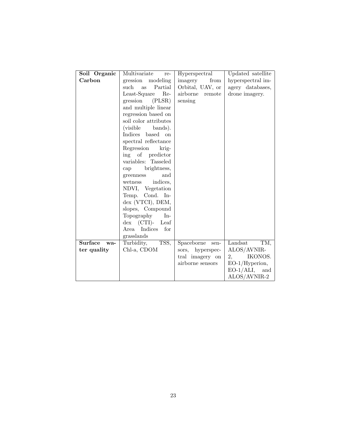| Soil Organic | Multivariate<br>re-          | Hyperspectral      | Updated satellite   |
|--------------|------------------------------|--------------------|---------------------|
| Carbon       |                              | from               | hyperspectral im-   |
|              | gression<br>modeling         | imagery            |                     |
|              | such<br>Partial<br><b>as</b> | Orbital, UAV, or   | agery databases,    |
|              | Least-Square Re-             | airborne remote    | drone imagery.      |
|              | gression (PLSR)              | sensing            |                     |
|              | and multiple linear          |                    |                     |
|              | regression based on          |                    |                     |
|              | soil color attributes        |                    |                     |
|              | (visible bands).             |                    |                     |
|              | Indices based on             |                    |                     |
|              | spectral reflectance         |                    |                     |
|              | Regression krig-             |                    |                     |
|              | ing of predictor             |                    |                     |
|              | variables: Tasseled          |                    |                     |
|              | brightness,<br>cap           |                    |                     |
|              | and<br>greenness             |                    |                     |
|              | indices,<br>wetness          |                    |                     |
|              | NDVI, Vegetation             |                    |                     |
|              | Temp. Cond. In-              |                    |                     |
|              | dex (VTCI), DEM,             |                    |                     |
|              |                              |                    |                     |
|              | slopes, Compound             |                    |                     |
|              | Topography<br>$In-$          |                    |                     |
|              | $dex$ (CTI)- Leaf            |                    |                     |
|              | Area Indices<br>for          |                    |                     |
|              | grasslands                   |                    |                     |
| Surface wa-  | TSS,<br>Turbidity,           | Spaceborne<br>sen- | TM,<br>Landsat      |
| ter quality  | Chl-a, CDOM                  | sors, hyperspec-   | ALOS/AVNIR-         |
|              |                              | tral imagery on    | 2,<br>IKONOS.       |
|              |                              | airborne sensors   | $EO-1/Hyperion,$    |
|              |                              |                    | $EO-1/ALI$ ,<br>and |
|              |                              |                    | ALOS/AVNIR-2        |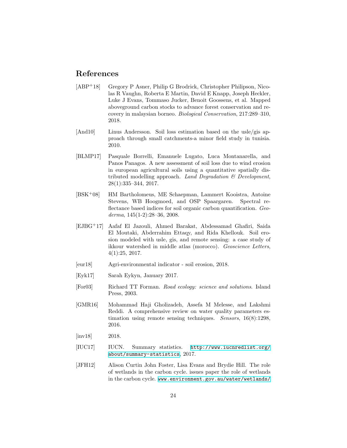# <span id="page-23-0"></span>**References**

- <span id="page-23-7"></span>[ABP<sup>+</sup>18] Gregory P Asner, Philip G Brodrick, Christopher Philipson, Nicolas R Vaughn, Roberta E Martin, David E Knapp, Joseph Heckler, Luke J Evans, Tommaso Jucker, Benoit Goossens, et al. Mapped aboveground carbon stocks to advance forest conservation and recovery in malaysian borneo. *Biological Conservation*, 217:289–310, 2018.
- <span id="page-23-12"></span>[And10] Linus Andersson. Soil loss estimation based on the usle/gis approach through small catchments-a minor field study in tunisia. 2010.
- <span id="page-23-5"></span>[BLMP17] Pasquale Borrelli, Emanuele Lugato, Luca Montanarella, and Panos Panagos. A new assessment of soil loss due to wind erosion in european agricultural soils using a quantitative spatially distributed modelling approach. *Land Degradation & Development*, 28(1):335–344, 2017.
- <span id="page-23-6"></span>[BSK+08] HM Bartholomeus, ME Schaepman, Lammert Kooistra, Antoine Stevens, WB Hoogmoed, and OSP Spaargaren. Spectral reflectance based indices for soil organic carbon quantification. *Geoderma*, 145(1-2):28–36, 2008.
- <span id="page-23-11"></span>[EJBG+17] Aafaf El Jazouli, Ahmed Barakat, Abdessamad Ghafiri, Saida El Moutaki, Abderrahim Ettaqy, and Rida Khellouk. Soil erosion modeled with usle, gis, and remote sensing: a case study of ikkour watershed in middle atlas (morocco). *Geoscience Letters*, 4(1):25, 2017.
- <span id="page-23-10"></span>[eur18] Agri-environmental indicator - soil erosion, 2018.
- <span id="page-23-1"></span>[Eyk17] Sarah Eykyn, January 2017.
- <span id="page-23-4"></span>[For03] Richard TT Forman. *Road ecology: science and solutions*. Island Press, 2003.
- <span id="page-23-9"></span>[GMR16] Mohammad Haji Gholizadeh, Assefa M Melesse, and Lakshmi Reddi. A comprehensive review on water quality parameters estimation using remote sensing techniques. *Sensors*, 16(8):1298, 2016.
- <span id="page-23-3"></span>[inv18] 2018.
- <span id="page-23-2"></span>[IUC17] IUCN. Summary statistics. [http://www.iucnredlist.org/](http://www.iucnredlist.org/about/summary-statistics) [about/summary-statistics](http://www.iucnredlist.org/about/summary-statistics), 2017.
- <span id="page-23-8"></span>[JFH12] Alison Curtin John Foster, Lisa Evans and Brydie Hill. The role of wetlands in the carbon cycle. issues paper the role of wetlands in the carbon cycle. [www.environment.gov.au/water/wetlands/](www.environment.gov.au/water/wetlands/publications/issues-paper-wetlands-role-carbon-cycle)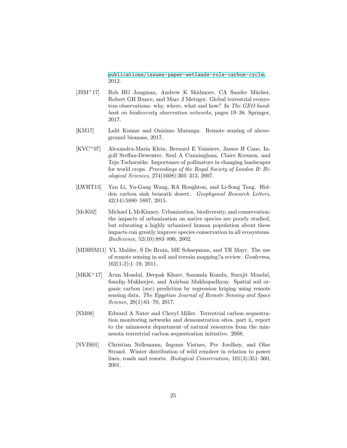[publications/issues-paper-wetlands-role-carbon-cycle](www.environment.gov.au/water/wetlands/publications/issues-paper-wetlands-role-carbon-cycle), 2012.

- <span id="page-24-8"></span>[JSM<sup>+</sup>17] Rob HG Jongman, Andrew K Skidmore, CA Sander Mücher, Robert GH Bunce, and Marc J Metzger. Global terrestrial ecosystem observations: why, where, what and how? In *The GEO handbook on biodiversity observation networks*, pages 19–38. Springer, 2017.
- <span id="page-24-6"></span>[KM17] Lalit Kumar and Onisimo Mutanga. Remote sensing of aboveground biomass, 2017.
- <span id="page-24-0"></span>[KVC<sup>+</sup>07] Alexandra-Maria Klein, Bernard E Vaissiere, James H Cane, Ingolf Steffan-Dewenter, Saul A Cunningham, Claire Kremen, and Teja Tscharntke. Importance of pollinators in changing landscapes for world crops. *Proceedings of the Royal Society of London B: Biological Sciences*, 274(1608):303–313, 2007.
- <span id="page-24-3"></span>[LWHT15] Yan Li, Yu-Gang Wang, RA Houghton, and Li-Song Tang. Hidden carbon sink beneath desert. *Geophysical Research Letters*, 42(14):5880–5887, 2015.
- <span id="page-24-2"></span>[McK02] Michael L McKinney. Urbanization, biodiversity, and conservation: the impacts of urbanization on native species are poorly studied, but educating a highly urbanized human population about these impacts can greatly improve species conservation in all ecosystems. *BioScience*, 52(10):883–890, 2002.
- <span id="page-24-4"></span>[MDBSM11] VL Mulder, S De Bruin, ME Schaepman, and TR Mayr. The use of remote sensing in soil and terrain mapping?a review. *Geoderma*, 162(1-2):1–19, 2011.
- <span id="page-24-5"></span>[MKK+17] Arun Mondal, Deepak Khare, Sananda Kundu, Surajit Mondal, Sandip Mukherjee, and Anirban Mukhopadhyay. Spatial soil organic carbon (soc) prediction by regression kriging using remote sensing data. *The Egyptian Journal of Remote Sensing and Space Science*, 20(1):61–70, 2017.
- <span id="page-24-7"></span>[NM08] Edward A Nater and Cheryl Miller. Terrestrial carbon sequestration monitoring networks and demonstration sites. part ii, report to the minnesota department of natural resources from the minnesota terrestrial carbon sequestration initiative. 2008.
- <span id="page-24-1"></span>[NVJS01] Christian Nellemann, Ingunn Vistnes, Per Jordhøy, and Olav Strand. Winter distribution of wild reindeer in relation to power lines, roads and resorts. *Biological Conservation*, 101(3):351–360, 2001.